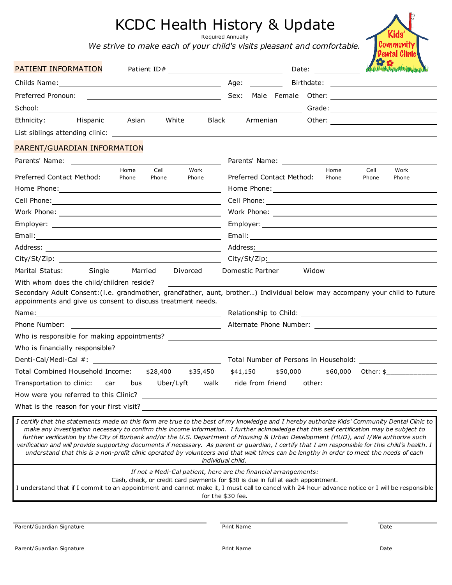## KCDC Health History & Update

Required Annually

*We strive to make each of your child's visits pleasant and comfortable.*

| Kid                       |
|---------------------------|
| Community<br>ental Clinic |
|                           |

| PATIENT INFORMATION<br>Patient ID#                                                                                                                                                                                                                                                                                                                                                                                                                                                                                                                                                                                                                                                                                                  | Date: $\frac{1}{\sqrt{1-\frac{1}{2}}\sqrt{1-\frac{1}{2}}\sqrt{1-\frac{1}{2}}\sqrt{1-\frac{1}{2}}}}$                                                                       | A ANY IN A MANAGEMENT AND A CONTRACTOR |
|-------------------------------------------------------------------------------------------------------------------------------------------------------------------------------------------------------------------------------------------------------------------------------------------------------------------------------------------------------------------------------------------------------------------------------------------------------------------------------------------------------------------------------------------------------------------------------------------------------------------------------------------------------------------------------------------------------------------------------------|---------------------------------------------------------------------------------------------------------------------------------------------------------------------------|----------------------------------------|
|                                                                                                                                                                                                                                                                                                                                                                                                                                                                                                                                                                                                                                                                                                                                     | Age:                                                                                                                                                                      |                                        |
| Preferred Pronoun:                                                                                                                                                                                                                                                                                                                                                                                                                                                                                                                                                                                                                                                                                                                  |                                                                                                                                                                           |                                        |
|                                                                                                                                                                                                                                                                                                                                                                                                                                                                                                                                                                                                                                                                                                                                     |                                                                                                                                                                           |                                        |
| Hispanic<br>Asian<br>White<br><b>Black</b><br>Ethnicity:                                                                                                                                                                                                                                                                                                                                                                                                                                                                                                                                                                                                                                                                            | Armenian                                                                                                                                                                  |                                        |
|                                                                                                                                                                                                                                                                                                                                                                                                                                                                                                                                                                                                                                                                                                                                     |                                                                                                                                                                           |                                        |
| PARENT/GUARDIAN INFORMATION                                                                                                                                                                                                                                                                                                                                                                                                                                                                                                                                                                                                                                                                                                         |                                                                                                                                                                           |                                        |
|                                                                                                                                                                                                                                                                                                                                                                                                                                                                                                                                                                                                                                                                                                                                     |                                                                                                                                                                           |                                        |
| Cell<br>Home<br>Work                                                                                                                                                                                                                                                                                                                                                                                                                                                                                                                                                                                                                                                                                                                | Home                                                                                                                                                                      | Cell<br>Work                           |
| Preferred Contact Method:<br>Phone<br>Phone<br>Phone                                                                                                                                                                                                                                                                                                                                                                                                                                                                                                                                                                                                                                                                                | Preferred Contact Method:<br>Phone                                                                                                                                        | Phone<br>Phone                         |
|                                                                                                                                                                                                                                                                                                                                                                                                                                                                                                                                                                                                                                                                                                                                     |                                                                                                                                                                           |                                        |
| Cell Phone: <u>Call Communication</u>                                                                                                                                                                                                                                                                                                                                                                                                                                                                                                                                                                                                                                                                                               |                                                                                                                                                                           |                                        |
|                                                                                                                                                                                                                                                                                                                                                                                                                                                                                                                                                                                                                                                                                                                                     |                                                                                                                                                                           |                                        |
|                                                                                                                                                                                                                                                                                                                                                                                                                                                                                                                                                                                                                                                                                                                                     |                                                                                                                                                                           |                                        |
|                                                                                                                                                                                                                                                                                                                                                                                                                                                                                                                                                                                                                                                                                                                                     |                                                                                                                                                                           |                                        |
|                                                                                                                                                                                                                                                                                                                                                                                                                                                                                                                                                                                                                                                                                                                                     |                                                                                                                                                                           |                                        |
|                                                                                                                                                                                                                                                                                                                                                                                                                                                                                                                                                                                                                                                                                                                                     |                                                                                                                                                                           |                                        |
| Marital Status:<br>Single<br>Married<br>Divorced                                                                                                                                                                                                                                                                                                                                                                                                                                                                                                                                                                                                                                                                                    | Domestic Partner<br>Widow                                                                                                                                                 |                                        |
| With whom does the child/children reside?                                                                                                                                                                                                                                                                                                                                                                                                                                                                                                                                                                                                                                                                                           |                                                                                                                                                                           |                                        |
| Secondary Adult Consent: (i.e. grandmother, grandfather, aunt, brother) Individual below may accompany your child to future<br>appoinments and give us consent to discuss treatment needs.                                                                                                                                                                                                                                                                                                                                                                                                                                                                                                                                          |                                                                                                                                                                           |                                        |
|                                                                                                                                                                                                                                                                                                                                                                                                                                                                                                                                                                                                                                                                                                                                     |                                                                                                                                                                           |                                        |
| Phone Number: Note that the state of the state of the state of the state of the state of the state of the state of the state of the state of the state of the state of the state of the state of the state of the state of the                                                                                                                                                                                                                                                                                                                                                                                                                                                                                                      |                                                                                                                                                                           |                                        |
|                                                                                                                                                                                                                                                                                                                                                                                                                                                                                                                                                                                                                                                                                                                                     |                                                                                                                                                                           |                                        |
|                                                                                                                                                                                                                                                                                                                                                                                                                                                                                                                                                                                                                                                                                                                                     |                                                                                                                                                                           |                                        |
|                                                                                                                                                                                                                                                                                                                                                                                                                                                                                                                                                                                                                                                                                                                                     |                                                                                                                                                                           |                                        |
|                                                                                                                                                                                                                                                                                                                                                                                                                                                                                                                                                                                                                                                                                                                                     |                                                                                                                                                                           |                                        |
| Total Combined Household Income: \$28,400<br>\$35,450 \$41,150                                                                                                                                                                                                                                                                                                                                                                                                                                                                                                                                                                                                                                                                      | \$50,000                                                                                                                                                                  | $$60,000$ Other: \$                    |
| Transportation to clinic: car bus<br>Uber/Lyft<br>walk                                                                                                                                                                                                                                                                                                                                                                                                                                                                                                                                                                                                                                                                              | ride from friend<br>other:                                                                                                                                                |                                        |
| How were you referred to this Clinic?                                                                                                                                                                                                                                                                                                                                                                                                                                                                                                                                                                                                                                                                                               |                                                                                                                                                                           |                                        |
| What is the reason for your first visit?                                                                                                                                                                                                                                                                                                                                                                                                                                                                                                                                                                                                                                                                                            |                                                                                                                                                                           |                                        |
| I certify that the statements made on this form are true to the best of my knowledge and I hereby authorize Kids' Community Dental Clinic to<br>make any investigation necessary to confirm this income information. I further acknowledge that this self certification may be subject to<br>further verification by the City of Burbank and/or the U.S. Department of Housing & Urban Development (HUD), and I/We authorize such<br>verification and will provide supporting documents if necessary. As parent or guardian, I certify that I am responsible for this child's health. I<br>understand that this is a non-profit clinic operated by volunteers and that wait times can be lengthy in order to meet the needs of each | individual child.                                                                                                                                                         |                                        |
| I understand that if I commit to an appointment and cannot make it, I must call to cancel with 24 hour advance notice or I will be responsible                                                                                                                                                                                                                                                                                                                                                                                                                                                                                                                                                                                      | If not a Medi-Cal patient, here are the financial arrangements:<br>Cash, check, or credit card payments for \$30 is due in full at each appointment.<br>for the \$30 fee. |                                        |
|                                                                                                                                                                                                                                                                                                                                                                                                                                                                                                                                                                                                                                                                                                                                     |                                                                                                                                                                           |                                        |
| Parent/Guardian Signature                                                                                                                                                                                                                                                                                                                                                                                                                                                                                                                                                                                                                                                                                                           | Print Name                                                                                                                                                                | Date                                   |